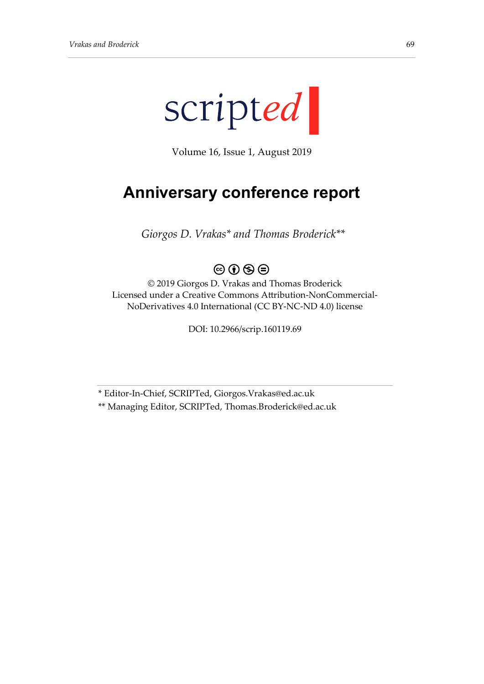

Volume 16, Issue 1, August 2019

## **Anniversary conference report**

*Giorgos D. Vrakas\* and Thomas Broderick\*\**

## $\circledcirc$   $\circledcirc$   $\circledcirc$

© 2019 Giorgos D. Vrakas and Thomas Broderick Licensed under a Creative Commons Attribution-NonCommercial-NoDerivatives 4.0 International (CC BY-NC-ND 4.0) license

DOI: 10.2966/scrip.160119.69

\* Editor-In-Chief, SCRIPTed, Giorgos.Vrakas@ed.ac.uk \*\* Managing Editor, SCRIPTed, Thomas.Broderick@ed.ac.uk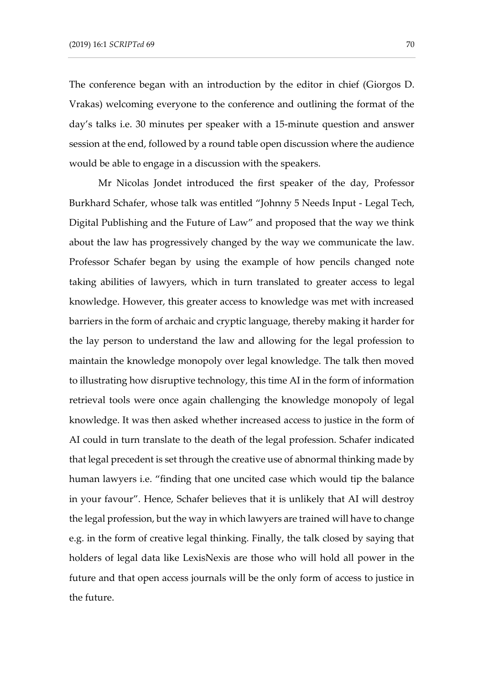The conference began with an introduction by the editor in chief (Giorgos D. Vrakas) welcoming everyone to the conference and outlining the format of the day's talks i.e. 30 minutes per speaker with a 15-minute question and answer session at the end, followed by a round table open discussion where the audience would be able to engage in a discussion with the speakers.

Mr Nicolas Jondet introduced the first speaker of the day, Professor Burkhard Schafer, whose talk was entitled "Johnny 5 Needs Input - Legal Tech, Digital Publishing and the Future of Law" and proposed that the way we think about the law has progressively changed by the way we communicate the law. Professor Schafer began by using the example of how pencils changed note taking abilities of lawyers, which in turn translated to greater access to legal knowledge. However, this greater access to knowledge was met with increased barriers in the form of archaic and cryptic language, thereby making it harder for the lay person to understand the law and allowing for the legal profession to maintain the knowledge monopoly over legal knowledge. The talk then moved to illustrating how disruptive technology, this time AI in the form of information retrieval tools were once again challenging the knowledge monopoly of legal knowledge. It was then asked whether increased access to justice in the form of AI could in turn translate to the death of the legal profession. Schafer indicated that legal precedent is set through the creative use of abnormal thinking made by human lawyers i.e. "finding that one uncited case which would tip the balance in your favour". Hence, Schafer believes that it is unlikely that AI will destroy the legal profession, but the way in which lawyers are trained will have to change e.g. in the form of creative legal thinking. Finally, the talk closed by saying that holders of legal data like LexisNexis are those who will hold all power in the future and that open access journals will be the only form of access to justice in the future.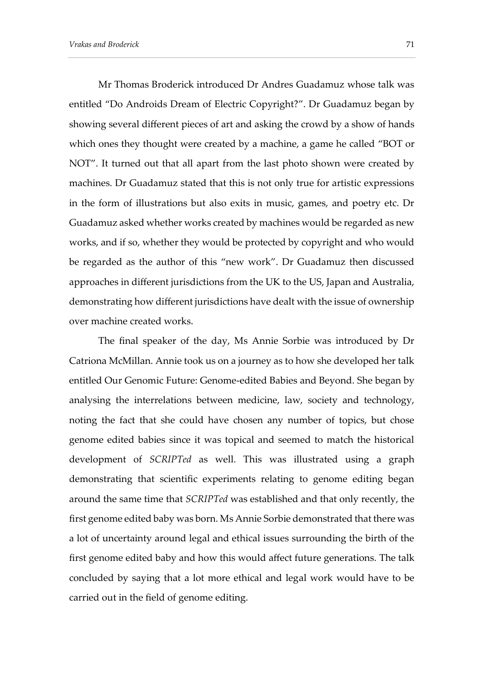Mr Thomas Broderick introduced Dr Andres Guadamuz whose talk was entitled "Do Androids Dream of Electric Copyright?". Dr Guadamuz began by showing several different pieces of art and asking the crowd by a show of hands which ones they thought were created by a machine, a game he called "BOT or NOT". It turned out that all apart from the last photo shown were created by machines. Dr Guadamuz stated that this is not only true for artistic expressions in the form of illustrations but also exits in music, games, and poetry etc. Dr Guadamuz asked whether works created by machines would be regarded as new works, and if so, whether they would be protected by copyright and who would be regarded as the author of this "new work". Dr Guadamuz then discussed approaches in different jurisdictions from the UK to the US, Japan and Australia, demonstrating how different jurisdictions have dealt with the issue of ownership over machine created works.

The final speaker of the day, Ms Annie Sorbie was introduced by Dr Catriona McMillan. Annie took us on a journey as to how she developed her talk entitled Our Genomic Future: Genome-edited Babies and Beyond. She began by analysing the interrelations between medicine, law, society and technology, noting the fact that she could have chosen any number of topics, but chose genome edited babies since it was topical and seemed to match the historical development of *SCRIPTed* as well. This was illustrated using a graph demonstrating that scientific experiments relating to genome editing began around the same time that *SCRIPTed* was established and that only recently, the first genome edited baby was born. Ms Annie Sorbie demonstrated that there was a lot of uncertainty around legal and ethical issues surrounding the birth of the first genome edited baby and how this would affect future generations. The talk concluded by saying that a lot more ethical and legal work would have to be carried out in the field of genome editing.